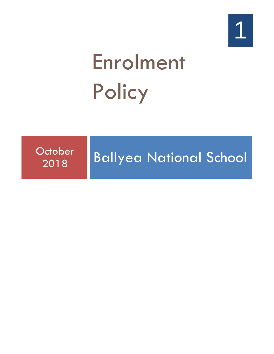# Enrolment **Policy**

**October** 

## <sup>Jctober</sup> Ballyea National School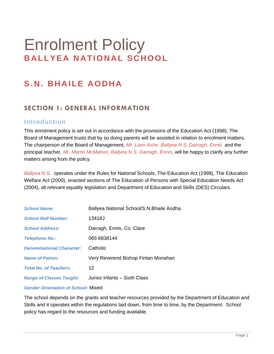### Enrolment Policy **BALLYEA NATIONAL SCHOOL**

#### **S . N. BHAILE AO DHA**

#### **SECTION 1: GENERAL INFORMATION**

#### **Introduction**

This enrolment policy is set out in accordance with the provisions of the Education Act (1998). The Board of Management trusts that by so doing parents will be assisted in relation to enrolment matters. The chairperson of the Board of Management, *Mr. Liam Ashe, Ballyea N.S. Darragh, Ennis* and the principal teacher, *Mr. Martin McMahon, Ballyea N.S. Darragh, Ennis*, will be happy to clarify any further matters arising from the policy.

*Ballyea N.S.* operates under the Rules for National Schools, The Education Act (1998), The Education Welfare Act (2000), enacted sections of The Education of Persons with Special Education Needs Act (2004), all relevant equality legislation and Department of Education and Skills (DES) Circulars.

| <b>School Name:</b>              | Ballyea National School/S.N. Bhaile Aodha |
|----------------------------------|-------------------------------------------|
| <b>School Roll Number:</b>       | 13418J                                    |
| <b>School Address:</b>           | Darragh, Ennis, Co. Clare                 |
| <b>Telephone No.:</b>            | 065 6838144                               |
| <b>Denominational Character:</b> | Catholic                                  |
| <b>Name of Patron:</b>           | Very Reverend Bishop Fintan Monahan       |
| <b>Total No. of Teachers:</b>    | $12 \,$                                   |
| <b>Range of Classes Taught:</b>  | Junior Infants - Sixth Class              |

*Gender Orientation of School:* Mixed

The school depends on the grants and teacher resources provided by the Department of Education and Skills and it operates within the regulations laid down, from time to time, by the Department. School policy has regard to the resources and funding available.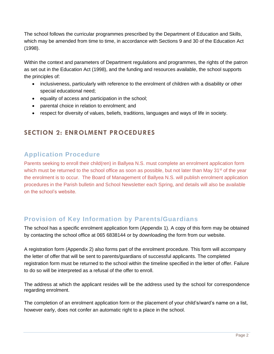The school follows the curricular programmes prescribed by the Department of Education and Skills, which may be amended from time to time, in accordance with Sections 9 and 30 of the Education Act (1998).

Within the context and parameters of Department regulations and programmes, the rights of the patron as set out in the Education Act (1998), and the funding and resources available, the school supports the principles of:

- inclusiveness, particularly with reference to the enrolment of children with a disability or other special educational need;
- equality of access and participation in the school;
- parental choice in relation to enrolment; and
- respect for diversity of values, beliefs, traditions, languages and ways of life in society.

#### **SECTION 2: ENROLMENT PROCEDURES**

#### **Application Procedure**

Parents seeking to enroll their child(ren) in Ballyea N.S. must complete an enrolment application form which must be returned to the school office as soon as possible, but not later than May  $31<sup>st</sup>$  of the year the enrolment is to occur. The Board of Management of Ballyea N.S. will publish enrolment application procedures in the Parish bulletin and School Newsletter each Spring, and details will also be available on the school's website.

#### **Provision of Key Information by Parents/Guardians**

The school has a specific enrolment application form (Appendix 1). A copy of this form may be obtained by contacting the school office at 065 6838144 or by downloading the form from our website.

A registration form (Appendix 2) also forms part of the enrolment procedure. This form will accompany the letter of offer that will be sent to parents/guardians of successful applicants. The completed registration form must be returned to the school within the timeline specified in the letter of offer. Failure to do so will be interpreted as a refusal of the offer to enroll.

The address at which the applicant resides will be the address used by the school for correspondence regarding enrolment.

The completion of an enrolment application form or the placement of your child's/ward's name on a list, however early, does not confer an automatic right to a place in the school.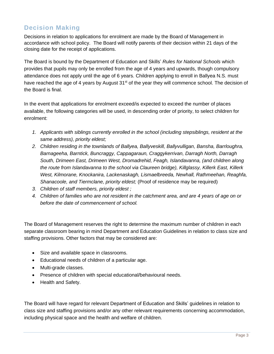#### **Decision Making**

Decisions in relation to applications for enrolment are made by the Board of Management in accordance with school policy. The Board will notify parents of their decision within 21 days of the closing date for the receipt of applications.

The Board is bound by the Department of Education and Skills' *Rules for National Schools* which provides that pupils may only be enrolled from the age of 4 years and upwards, though compulsory attendance does not apply until the age of 6 years. Children applying to enroll in Ballyea N.S. must have reached the age of 4 years by August 31<sup>st</sup> of the year they will commence school. The decision of the Board is final.

In the event that applications for enrolment exceed/is expected to exceed the number of places available, the following categories will be used, in descending order of priority, to select children for enrolment:

- *1. Applicants with siblings currently enrolled in the school (including stepsiblings, resident at the same address), priority eldest;*
- *2. Children residing in the townlands of Ballyea, Ballyveskill, Ballyvulligan, Bansha, Barrloughra, Barnageeha, Barntick, Buncraggy, Cappagaraun, Craggykerrivan, Darragh North, Darragh South, Drimeen East, Drimeen West, Dromadrehid, Feagh, Islandavanna, (and children along the route from Islandavanna to the school via Claureen bridge), Killglassy, Killerk East, Killerk West, Kilmorane, Knockanira, Lackenaskagh, Lismaelbreeda, Newhall, Rathmeehan, Reaghfa, Shanacoole, and Tiermclane, priority eldest;* (Proof of residence may be required)
- *3. Children of staff members, priority eldest ;*
- *4. Children of families who are not resident in the catchment area, and are 4 years of age on or before the date of commencement of school.*

The Board of Management reserves the right to determine the maximum number of children in each separate classroom bearing in mind Department and Education Guidelines in relation to class size and staffing provisions. Other factors that may be considered are:

- Size and available space in classrooms.
- Educational needs of children of a particular age.
- Multi-grade classes.
- Presence of children with special educational/behavioural needs.
- Health and Safety.

The Board will have regard for relevant Department of Education and Skills' guidelines in relation to class size and staffing provisions and/or any other relevant requirements concerning accommodation, including physical space and the health and welfare of children.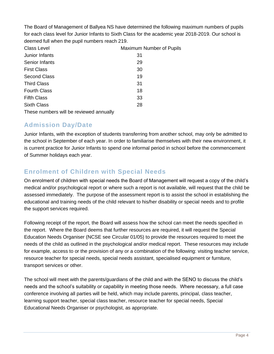The Board of Management of Ballyea NS have determined the following maximum numbers of pupils for each class level for Junior Infants to Sixth Class for the academic year 2018-2019. Our school is deemed full when the pupil numbers reach 219.

| <b>Class Level</b>                      | Maximum Number of Pupils |
|-----------------------------------------|--------------------------|
| Junior Infants                          | 31                       |
| Senior Infants                          | 29                       |
| <b>First Class</b>                      | 30                       |
| <b>Second Class</b>                     | 19                       |
| <b>Third Class</b>                      | 31                       |
| <b>Fourth Class</b>                     | 18                       |
| <b>Fifth Class</b>                      | 33                       |
| <b>Sixth Class</b>                      | 28                       |
| These numbers will be reviewed annually |                          |

#### **Admission Day/Date**

Junior Infants, with the exception of students transferring from another school, may only be admitted to the school in September of each year. In order to familiarise themselves with their new environment, it is current practice for Junior Infants to spend one informal period in school before the commencement of Summer holidays each year.

#### **Enrolment of Children with Special Needs**

On enrolment of children with special needs the Board of Management will request a copy of the child's medical and/or psychological report or where such a report is not available, will request that the child be assessed immediately. The purpose of the assessment report is to assist the school in establishing the educational and training needs of the child relevant to his/her disability or special needs and to profile the support services required.

Following receipt of the report, the Board will assess how the school can meet the needs specified in the report. Where the Board deems that further resources are required, it will request the Special Education Needs Organiser (NCSE see Circular 01/05) to provide the resources required to meet the needs of the child as outlined in the psychological and/or medical report. These resources may include for example, access to or the provision of any or a combination of the following: visiting teacher service, resource teacher for special needs, special needs assistant, specialised equipment or furniture, transport services or other.

The school will meet with the parents/guardians of the child and with the SENO to discuss the child's needs and the school's suitability or capability in meeting those needs. Where necessary, a full case conference involving all parties will be held, which may include parents, principal, class teacher, learning support teacher, special class teacher, resource teacher for special needs, Special Educational Needs Organiser or psychologist, as appropriate.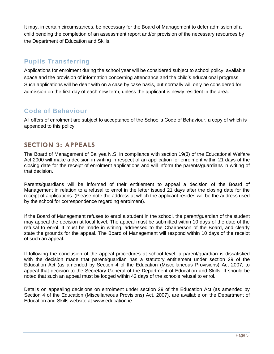It may, in certain circumstances, be necessary for the Board of Management to defer admission of a child pending the completion of an assessment report and/or provision of the necessary resources by the Department of Education and Skills.

#### **Pupils Transferring**

Applications for enrolment during the school year will be considered subject to school policy, available space and the provision of information concerning attendance and the child's educational progress. Such applications will be dealt with on a case by case basis, but normally will only be considered for admission on the first day of each new term, unless the applicant is newly resident in the area.

#### **Code of Behaviour**

All offers of enrolment are subject to acceptance of the School's Code of Behaviour, a copy of which is appended to this policy.

#### **SECTION 3: APPEALS**

The Board of Management of Ballyea N.S. in compliance with section 19(3) of the Educational Welfare Act 2000 will make a decision in writing in respect of an application for enrolment within 21 days of the closing date for the receipt of enrolment applications and will inform the parents/guardians in writing of that decision.

Parents/guardians will be informed of their entitlement to appeal a decision of the Board of Management in relation to a refusal to enrol in the letter issued 21 days after the closing date for the receipt of applications. (Please note the address at which the applicant resides will be the address used by the school for correspondence regarding enrolment).

If the Board of Management refuses to enrol a student in the school, the parent/guardian of the student may appeal the decision at local level. The appeal must be submitted within 10 days of the date of the refusal to enrol. It must be made in writing, addressed to the Chairperson of the Board, and clearly state the grounds for the appeal. The Board of Management will respond within 10 days of the receipt of such an appeal.

If following the conclusion of the appeal procedures at school level, a parent/guardian is dissatisfied with the decision made that parent/guardian has a statutory entitlement under section 29 of the Education Act (as amended by Section 4 of the Education (Miscellaneous Provisions) Act 2007, to appeal that decision to the Secretary General of the Department of Education and Skills. It should be noted that such an appeal must be lodged within 42 days of the schools refusal to enrol.

Details on appealing decisions on enrolment under section 29 of the Education Act (as amended by Section 4 of the Education (Miscellaneous Provisions) Act, 2007), are available on the Department of Education and Skills website at www.education.ie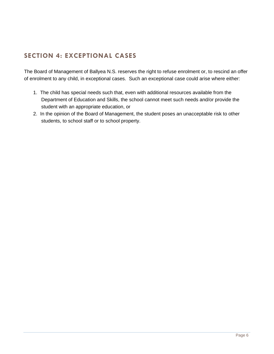#### **SECTION 4: EXCEPTIONAL CASES**

The Board of Management of Ballyea N.S. reserves the right to refuse enrolment or, to rescind an offer of enrolment to any child, in exceptional cases. Such an exceptional case could arise where either:

- 1. The child has special needs such that, even with additional resources available from the Department of Education and Skills, the school cannot meet such needs and/or provide the student with an appropriate education, or
- 2. In the opinion of the Board of Management, the student poses an unacceptable risk to other students, to school staff or to school property.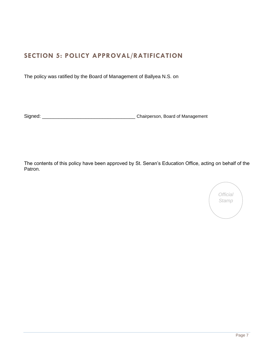#### **SECTION 5: POLICY APPROVAL/RATIFICATION**

The policy was ratified by the Board of Management of Ballyea N.S. on

Signed: \_\_\_\_\_\_\_\_\_\_\_\_\_\_\_\_\_\_\_\_\_\_\_\_\_\_\_\_\_\_\_\_\_\_ Chairperson, Board of Management

The contents of this policy have been approved by St. Senan's Education Office, acting on behalf of the Patron.

*Official Stamp*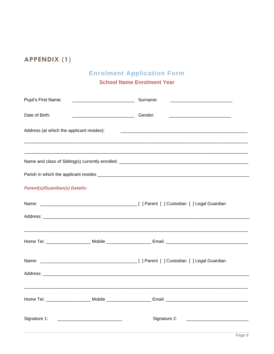#### **APPENDIX (1)**

#### **Enrolment Application Form**

#### **School Name Enrolment Year**

| Pupil's First Name:                       |                                                                                                                           |  |
|-------------------------------------------|---------------------------------------------------------------------------------------------------------------------------|--|
| Date of Birth:                            | <u> 2000 - Jan James James Jan James James James James James James James James James James James James James James Ja</u> |  |
| Address (at which the applicant resides): |                                                                                                                           |  |
|                                           |                                                                                                                           |  |
|                                           |                                                                                                                           |  |
| <b>Parent(s)/Guardian(s) Details:</b>     |                                                                                                                           |  |
|                                           |                                                                                                                           |  |
|                                           |                                                                                                                           |  |
|                                           | Home Tel. ____________________________Mobile __________________________Email. ________________________________            |  |
|                                           |                                                                                                                           |  |
|                                           |                                                                                                                           |  |
|                                           |                                                                                                                           |  |
| Signature 1:                              | Signature 2:                                                                                                              |  |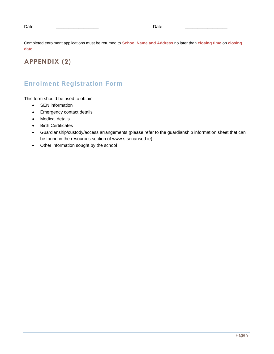Date: \_\_\_\_\_\_\_\_\_\_\_\_\_\_\_\_\_ Date: \_\_\_\_\_\_\_\_\_\_\_\_\_\_\_\_\_

Completed enrolment applications must be returned to **School Name and Address** no later than **closing time** on **closing date**.

#### **APPENDIX (2)**

#### **Enrolment Registration Form**

This form should be used to obtain

- SEN information
- Emergency contact details
- Medical details
- Birth Certificates
- Guardianship/custody/access arrangements (please refer to the guardianship information sheet that can be found in the resources section of www.stsenansed.ie).
- Other information sought by the school